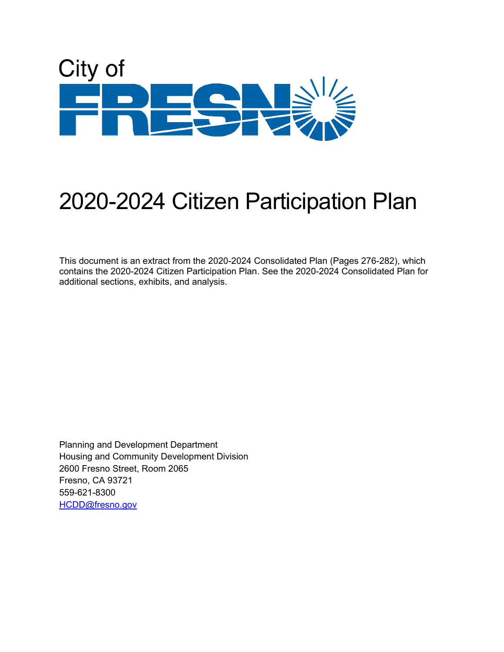

# 2020-2024 Citizen Participation Plan

This document is an extract from the 2020-2024 Consolidated Plan (Pages 276-282), which contains the 2020-2024 Citizen Participation Plan. See the 2020-2024 Consolidated Plan for additional sections, exhibits, and analysis.

Planning and Development Department Housing and Community Development Division 2600 Fresno Street, Room 2065 Fresno, CA 93721 559-621-8300 [HCDD@fresno.gov](mailto:HCDD@fresno.gov)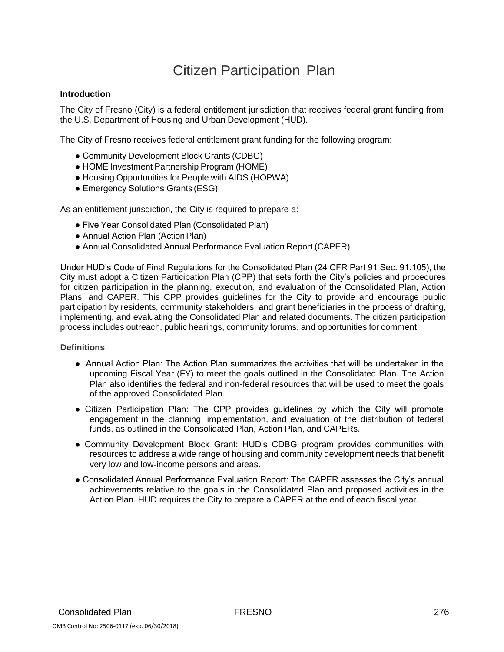# Citizen Participation Plan

#### **Introduction**

The City of Fresno (City) is a federal entitlement jurisdiction that receives federal grant funding from the U.S. Department of Housing and Urban Development (HUD).

The City of Fresno receives federal entitlement grant funding for the following program:

- Community Development Block Grants (CDBG)
- HOME Investment Partnership Program (HOME)
- Housing Opportunities for People with AIDS (HOPWA)
- Emergency Solutions Grants (ESG)

As an entitlement jurisdiction, the City is required to prepare a:

- Five Year Consolidated Plan (Consolidated Plan)
- Annual Action Plan (Action Plan)
- Annual Consolidated Annual Performance Evaluation Report (CAPER)

Under HUD's Code of Final Regulations for the Consolidated Plan (24 CFR Part 91 Sec. 91.105), the City must adopt a Citizen Participation Plan (CPP) that sets forth the City's policies and procedures for citizen participation in the planning, execution, and evaluation of the Consolidated Plan, Action Plans, and CAPER. This CPP provides guidelines for the City to provide and encourage public participation by residents, community stakeholders, and grant beneficiaries in the process of drafting, implementing, and evaluating the Consolidated Plan and related documents. The citizen participation process includes outreach, public hearings, community forums, and opportunities for comment.

#### **Definitions**

- Annual Action Plan: The Action Plan summarizes the activities that will be undertaken in the upcoming Fiscal Year (FY) to meet the goals outlined in the Consolidated Plan. The Action Plan also identifies the federal and non‐federal resources that will be used to meet the goals of the approved Consolidated Plan.
- Citizen Participation Plan: The CPP provides guidelines by which the City will promote engagement in the planning, implementation, and evaluation of the distribution of federal funds, as outlined in the Consolidated Plan, Action Plan, and CAPERs.
- Community Development Block Grant: HUD's CDBG program provides communities with resources to address a wide range of housing and community development needs that benefit very low and low‐income persons and areas.
- Consolidated Annual Performance Evaluation Report: The CAPER assesses the City's annual achievements relative to the goals in the Consolidated Plan and proposed activities in the Action Plan. HUD requires the City to prepare a CAPER at the end of each fiscal year.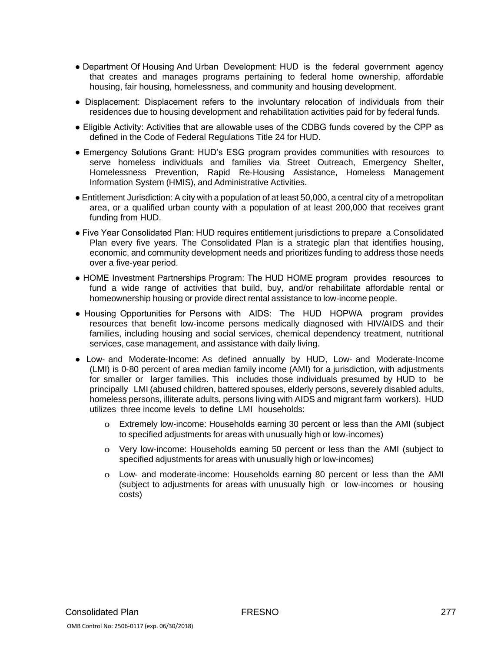- Department Of Housing And Urban Development: HUD is the federal government agency that creates and manages programs pertaining to federal home ownership, affordable housing, fair housing, homelessness, and community and housing development.
- Displacement: Displacement refers to the involuntary relocation of individuals from their residences due to housing development and rehabilitation activities paid for by federal funds.
- Eligible Activity: Activities that are allowable uses of the CDBG funds covered by the CPP as defined in the Code of Federal Regulations Title 24 for HUD.
- Emergency Solutions Grant: HUD's ESG program provides communities with resources to serve homeless individuals and families via Street Outreach, Emergency Shelter, Homelessness Prevention, Rapid Re‐Housing Assistance, Homeless Management Information System (HMIS), and Administrative Activities.
- Entitlement Jurisdiction: A city with a population of at least 50,000, a central city of a metropolitan area, or a qualified urban county with a population of at least 200,000 that receives grant funding from HUD.
- Five Year Consolidated Plan: HUD requires entitlement jurisdictions to prepare a Consolidated Plan every five years. The Consolidated Plan is a strategic plan that identifies housing, economic, and community development needs and prioritizes funding to address those needs over a five‐year period.
- HOME Investment Partnerships Program: The HUD HOME program provides resources to fund a wide range of activities that build, buy, and/or rehabilitate affordable rental or homeownership housing or provide direct rental assistance to low‐income people.
- Housing Opportunities for Persons with AIDS: The HUD HOPWA program provides resources that benefit low‐income persons medically diagnosed with HIV/AIDS and their families, including housing and social services, chemical dependency treatment, nutritional services, case management, and assistance with daily living.
- Low- and Moderate-Income: As defined annually by HUD, Low- and Moderate-Income (LMI) is 0‐80 percent of area median family income (AMI) for a jurisdiction, with adjustments for smaller or larger families. This includes those individuals presumed by HUD to be principally LMI (abused children, battered spouses, elderly persons, severely disabled adults, homeless persons, illiterate adults, persons living with AIDS and migrant farm workers). HUD utilizes three income levels to define LMI households:
	- o Extremely low‐income: Households earning 30 percent or less than the AMI (subject to specified adjustments for areas with unusually high or low‐incomes)
	- o Very low‐income: Households earning 50 percent or less than the AMI (subject to specified adjustments for areas with unusually high or low-incomes)
	- o Low‐ and moderate‐income: Households earning 80 percent or less than the AMI (subject to adjustments for areas with unusually high or low‐incomes or housing costs)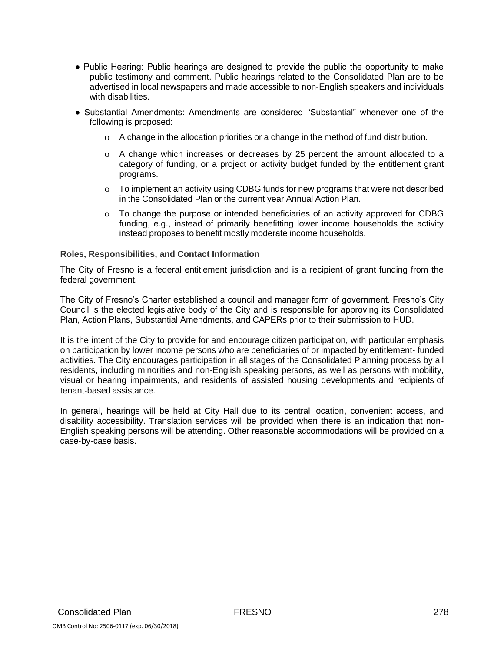- Public Hearing: Public hearings are designed to provide the public the opportunity to make public testimony and comment. Public hearings related to the Consolidated Plan are to be advertised in local newspapers and made accessible to non‐English speakers and individuals with disabilities.
- Substantial Amendments: Amendments are considered "Substantial" whenever one of the following is proposed:
	- o A change in the allocation priorities or a change in the method of fund distribution.
	- o A change which increases or decreases by 25 percent the amount allocated to a category of funding, or a project or activity budget funded by the entitlement grant programs.
	- o To implement an activity using CDBG funds for new programs that were not described in the Consolidated Plan or the current year Annual Action Plan.
	- o To change the purpose or intended beneficiaries of an activity approved for CDBG funding, e.g., instead of primarily benefitting lower income households the activity instead proposes to benefit mostly moderate income households.

#### **Roles, Responsibilities, and Contact Information**

The City of Fresno is a federal entitlement jurisdiction and is a recipient of grant funding from the federal government.

The City of Fresno's Charter established a council and manager form of government. Fresno's City Council is the elected legislative body of the City and is responsible for approving its Consolidated Plan, Action Plans, Substantial Amendments, and CAPERs prior to their submission to HUD.

It is the intent of the City to provide for and encourage citizen participation, with particular emphasis on participation by lower income persons who are beneficiaries of or impacted by entitlement‐ funded activities. The City encourages participation in all stages of the Consolidated Planning process by all residents, including minorities and non‐English speaking persons, as well as persons with mobility, visual or hearing impairments, and residents of assisted housing developments and recipients of tenant‐based assistance.

In general, hearings will be held at City Hall due to its central location, convenient access, and disability accessibility. Translation services will be provided when there is an indication that non‐ English speaking persons will be attending. Other reasonable accommodations will be provided on a case‐by‐case basis.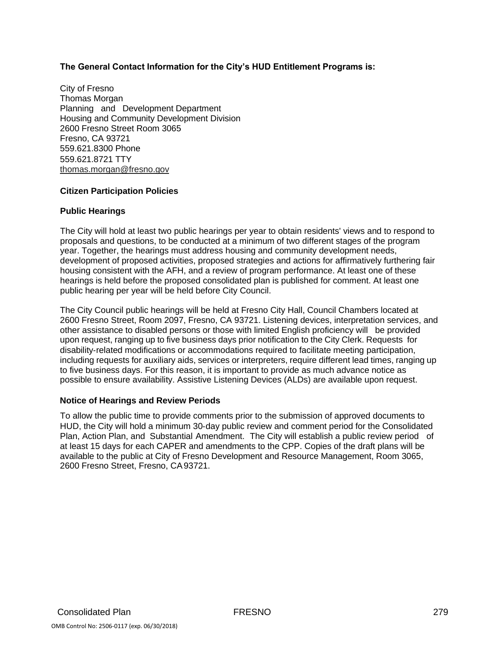## **The General Contact Information for the City's HUD Entitlement Programs is:**

City of Fresno Thomas Morgan Planning and Development Department Housing and Community Development Division 2600 Fresno Street Room 3065 Fresno, CA 93721 559.621.8300 Phone 559.621.8721 TTY [thomas.morgan@fresno.gov](mailto:thomas.morgan@fresno.gov)

## **Citizen Participation Policies**

#### **Public Hearings**

The City will hold at least two public hearings per year to obtain residents' views and to respond to proposals and questions, to be conducted at a minimum of two different stages of the program year. Together, the hearings must address housing and community development needs, development of proposed activities, proposed strategies and actions for affirmatively furthering fair housing consistent with the AFH, and a review of program performance. At least one of these hearings is held before the proposed consolidated plan is published for comment. At least one public hearing per year will be held before City Council.

The City Council public hearings will be held at Fresno City Hall, Council Chambers located at 2600 Fresno Street, Room 2097, Fresno, CA 93721. Listening devices, interpretation services, and other assistance to disabled persons or those with limited English proficiency will be provided upon request, ranging up to five business days prior notification to the City Clerk. Requests for disability‐related modifications or accommodations required to facilitate meeting participation, including requests for auxiliary aids, services or interpreters, require different lead times, ranging up to five business days. For this reason, it is important to provide as much advance notice as possible to ensure availability. Assistive Listening Devices (ALDs) are available upon request.

#### **Notice of Hearings and Review Periods**

To allow the public time to provide comments prior to the submission of approved documents to HUD, the City will hold a minimum 30‐day public review and comment period for the Consolidated Plan, Action Plan, and Substantial Amendment. The City will establish a public review period of at least 15 days for each CAPER and amendments to the CPP. Copies of the draft plans will be available to the public at City of Fresno Development and Resource Management, Room 3065, 2600 Fresno Street, Fresno, CA93721.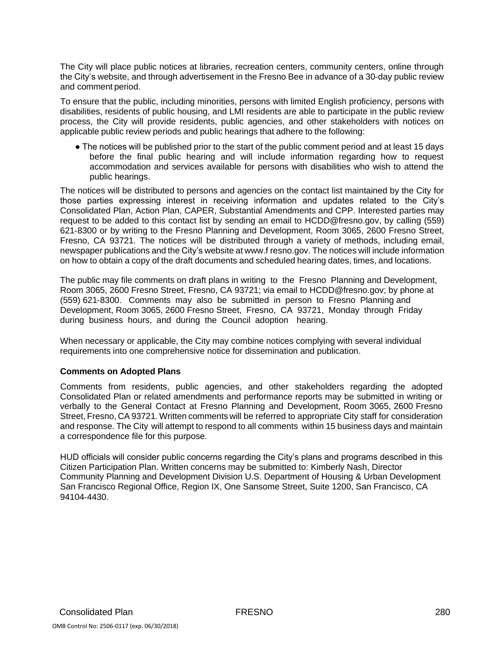The City will place public notices at libraries, recreation centers, community centers, online through the City's website, and through advertisement in the Fresno Bee in advance of a 30‐day public review and comment period.

To ensure that the public, including minorities, persons with limited English proficiency, persons with disabilities, residents of public housing, and LMI residents are able to participate in the public review process, the City will provide residents, public agencies, and other stakeholders with notices on applicable public review periods and public hearings that adhere to the following:

● The notices will be published prior to the start of the public comment period and at least 15 days before the final public hearing and will include information regarding how to request accommodation and services available for persons with disabilities who wish to attend the public hearings.

The notices will be distributed to persons and agencies on the contact list maintained by the City for those parties expressing interest in receiving information and updates related to the City's Consolidated Plan, Action Plan, CAPER, Substantial Amendments and CPP. Interested parties may request to be added to this contact list by sending an email to [HCDD@fresno.gov,](mailto:HCDD@fresno.gov) by calling (559) 621‐8300 or by writing to the Fresno Planning and Development, Room 3065, 2600 Fresno Street, Fresno, CA 93721. The notices will be distributed through a variety of methods, including email, newspaper publications and the City's website at www.f resno.gov. The notices will include information on how to obtain a copy of the draft documents and scheduled hearing dates, times, and locations.

The public may file comments on draft plans in writing to the Fresno Planning and Development, Room 3065, 2600 Fresno Street, Fresno, CA 93721; via email to HCDD@fresno.gov; by phone at (559) 621‐8300. Comments may also be submitted in person to Fresno Planning and Development, Room 3065, 2600 Fresno Street, Fresno, CA 93721, Monday through Friday during business hours, and during the Council adoption hearing.

When necessary or applicable, the City may combine notices complying with several individual requirements into one comprehensive notice for dissemination and publication.

#### **Comments on Adopted Plans**

Comments from residents, public agencies, and other stakeholders regarding the adopted Consolidated Plan or related amendments and performance reports may be submitted in writing or verbally to the General Contact at Fresno Planning and Development, Room 3065, 2600 Fresno Street, Fresno, CA 93721. Written comments will be referred to appropriate City staff for consideration and response. The City will attempt to respond to all comments within 15 business days and maintain a correspondence file for this purpose.

HUD officials will consider public concerns regarding the City's plans and programs described in this Citizen Participation Plan. Written concerns may be submitted to: Kimberly Nash, Director Community Planning and Development Division U.S. Department of Housing & Urban Development San Francisco Regional Office, Region IX, One Sansome Street, Suite 1200, San Francisco, CA 94104‐4430.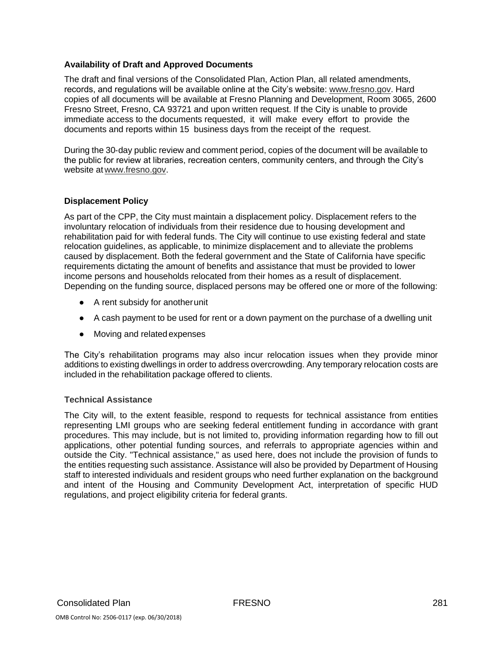#### **Availability of Draft and Approved Documents**

The draft and final versions of the Consolidated Plan, Action Plan, all related amendments, records, and regulations will be available online at the City's website: [www.fresno.gov.](http://www.fresno.gov/conplan) Hard copies of all documents will be available at Fresno Planning and Development, Room 3065, 2600 Fresno Street, Fresno, CA 93721 and upon written request. If the City is unable to provide immediate access to the documents requested, it will make every effort to provide the documents and reports within 15 business days from the receipt of the request.

During the 30‐day public review and comment period, copies of the document will be available to the public for review at libraries, recreation centers, community centers, and through the City's website at [www.fresno.gov.](http://www.fresno.gov/)

## **Displacement Policy**

As part of the CPP, the City must maintain a displacement policy. Displacement refers to the involuntary relocation of individuals from their residence due to housing development and rehabilitation paid for with federal funds. The City will continue to use existing federal and state relocation guidelines, as applicable, to minimize displacement and to alleviate the problems caused by displacement. Both the federal government and the State of California have specific requirements dictating the amount of benefits and assistance that must be provided to lower income persons and households relocated from their homes as a result of displacement. Depending on the funding source, displaced persons may be offered one or more of the following:

- A rent subsidy for anotherunit
- A cash payment to be used for rent or a down payment on the purchase of a dwelling unit
- Moving and related expenses

The City's rehabilitation programs may also incur relocation issues when they provide minor additions to existing dwellings in order to address overcrowding. Any temporary relocation costs are included in the rehabilitation package offered to clients.

#### **Technical Assistance**

The City will, to the extent feasible, respond to requests for technical assistance from entities representing LMI groups who are seeking federal entitlement funding in accordance with grant procedures. This may include, but is not limited to, providing information regarding how to fill out applications, other potential funding sources, and referrals to appropriate agencies within and outside the City. "Technical assistance," as used here, does not include the provision of funds to the entities requesting such assistance. Assistance will also be provided by Department of Housing staff to interested individuals and resident groups who need further explanation on the background and intent of the Housing and Community Development Act, interpretation of specific HUD regulations, and project eligibility criteria for federal grants.